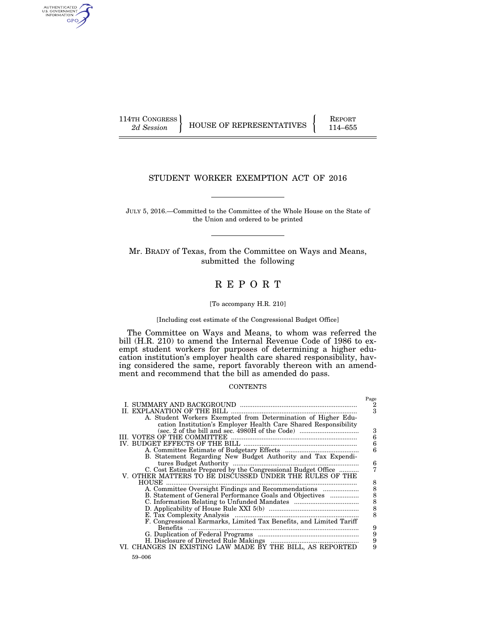AUTHENTICATED<br>U.S. GOVERNMENT<br>INFORMATION GPO

114TH CONGRESS HOUSE OF REPRESENTATIVES FEPORT 114–655

## STUDENT WORKER EXEMPTION ACT OF 2016

JULY 5, 2016.—Committed to the Committee of the Whole House on the State of the Union and ordered to be printed

Mr. BRADY of Texas, from the Committee on Ways and Means, submitted the following

# R E P O R T

## [To accompany H.R. 210]

[Including cost estimate of the Congressional Budget Office]

The Committee on Ways and Means, to whom was referred the bill (H.R. 210) to amend the Internal Revenue Code of 1986 to exempt student workers for purposes of determining a higher education institution's employer health care shared responsibility, having considered the same, report favorably thereon with an amendment and recommend that the bill as amended do pass.

#### **CONTENTS**

|                                                                     | Page          |
|---------------------------------------------------------------------|---------------|
| L. SUMMARY AND BACKGROUND                                           | 2             |
| EXPLANATION OF THE BILL                                             | 3             |
| A. Student Workers Exempted from Determination of Higher Edu-       |               |
| cation Institution's Employer Health Care Shared Responsibility     |               |
|                                                                     | 3             |
| III. VOTES OF THE COMMITTEE                                         |               |
|                                                                     | 666           |
|                                                                     |               |
| B. Statement Regarding New Budget Authority and Tax Expendi-        |               |
| tures Budget Authority                                              | 6             |
| C. Cost Estimate Prepared by the Congressional Budget Office        | 7             |
| V. OTHER MATTERS TO BE DISCUSSED UNDER THE RULES OF THE             |               |
| HOUSE                                                               | 8             |
| A. Committee Oversight Findings and Recommendations                 |               |
| B. Statement of General Performance Goals and Objectives            |               |
|                                                                     | 88888         |
|                                                                     |               |
|                                                                     |               |
| F. Congressional Earmarks, Limited Tax Benefits, and Limited Tariff |               |
| <b>Benefits</b>                                                     | 9             |
|                                                                     | $\frac{9}{9}$ |
|                                                                     |               |
| VI. CHANGES IN EXISTING LAW MADE BY THE BILL, AS REPORTED           | 9             |
| 59-006                                                              |               |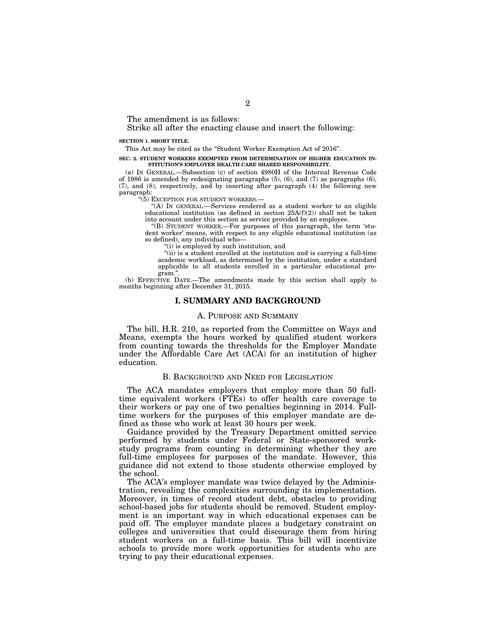The amendment is as follows:

## Strike all after the enacting clause and insert the following:

#### **SECTION 1. SHORT TITLE.**

This Act may be cited as the ''Student Worker Exemption Act of 2016''.

#### **SEC. 2. STUDENT WORKERS EXEMPTED FROM DETERMINATION OF HIGHER EDUCATION IN-STITUTION'S EMPLOYER HEALTH CARE SHARED RESPONSIBILITY.**

(a) IN GENERAL.—Subsection (c) of section 4980H of the Internal Revenue Code of 1986 is amended by redesignating paragraphs  $(5)$ ,  $(6)$ , and  $(7)$  as paragraphs  $(6)$ , (7), and (8), respectively, and by inserting after paragraph (4) the following new paragraph:

''(5) EXCEPTION FOR STUDENT WORKERS.—

''(A) IN GENERAL.—Services rendered as a student worker to an eligible educational institution (as defined in section 25A(f)(2)) shall not be taken into account under this section as service provided by an employee.

''(B) STUDENT WORKER.—For purposes of this paragraph, the term 'student worker' means, with respect to any eligible educational institution (as so defined), any individual who—

''(i) is employed by such institution, and

''(ii) is a student enrolled at the institution and is carrying a full-time academic workload, as determined by the institution, under a standard applicable to all students enrolled in a particular educational program."

(b) EFFECTIVE DATE.—The amendments made by this section shall apply to months beginning after December 31, 2015.

#### **I. SUMMARY AND BACKGROUND**

## A. PURPOSE AND SUMMARY

The bill, H.R. 210, as reported from the Committee on Ways and Means, exempts the hours worked by qualified student workers from counting towards the thresholds for the Employer Mandate under the Affordable Care Act (ACA) for an institution of higher education.

## B. BACKGROUND AND NEED FOR LEGISLATION

The ACA mandates employers that employ more than 50 fulltime equivalent workers (FTEs) to offer health care coverage to their workers or pay one of two penalties beginning in 2014. Fulltime workers for the purposes of this employer mandate are defined as those who work at least 30 hours per week.

Guidance provided by the Treasury Department omitted service performed by students under Federal or State-sponsored workstudy programs from counting in determining whether they are full-time employees for purposes of the mandate. However, this guidance did not extend to those students otherwise employed by the school.

The ACA's employer mandate was twice delayed by the Administration, revealing the complexities surrounding its implementation. Moreover, in times of record student debt, obstacles to providing school-based jobs for students should be removed. Student employment is an important way in which educational expenses can be paid off. The employer mandate places a budgetary constraint on colleges and universities that could discourage them from hiring student workers on a full-time basis. This bill will incentivize schools to provide more work opportunities for students who are trying to pay their educational expenses.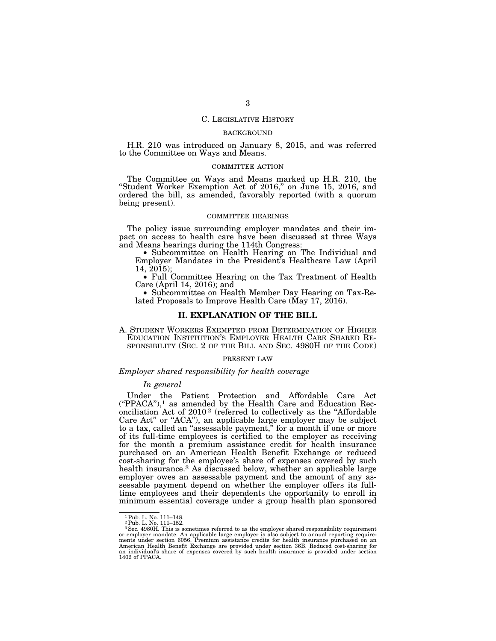## C. LEGISLATIVE HISTORY

## BACKGROUND

H.R. 210 was introduced on January 8, 2015, and was referred to the Committee on Ways and Means.

#### COMMITTEE ACTION

The Committee on Ways and Means marked up H.R. 210, the "Student Worker Exemption Act of 2016," on June 15, 2016, and ordered the bill, as amended, favorably reported (with a quorum being present).

## COMMITTEE HEARINGS

The policy issue surrounding employer mandates and their impact on access to health care have been discussed at three Ways and Means hearings during the 114th Congress:

• Subcommittee on Health Hearing on The Individual and Employer Mandates in the President's Healthcare Law (April 14, 2015);

• Full Committee Hearing on the Tax Treatment of Health Care (April 14, 2016); and

• Subcommittee on Health Member Day Hearing on Tax-Related Proposals to Improve Health Care (May 17, 2016).

## **II. EXPLANATION OF THE BILL**

A. STUDENT WORKERS EXEMPTED FROM DETERMINATION OF HIGHER EDUCATION INSTITUTION'S EMPLOYER HEALTH CARE SHARED RE- SPONSIBILITY (SEC. 2 OF THE BILL AND SEC. 4980H OF THE CODE)

#### PRESENT LAW

## *Employer shared responsibility for health coverage*

#### *In general*

Under the Patient Protection and Affordable Care Act  $($ "PPACA"),<sup>1</sup> as amended by the Health Care and Education Reconciliation Act of 2010<sup>2</sup> (referred to collectively as the "Affordable Care Act" or "ACA"), an applicable large employer may be subject to a tax, called an ''assessable payment,'' for a month if one or more of its full-time employees is certified to the employer as receiving for the month a premium assistance credit for health insurance purchased on an American Health Benefit Exchange or reduced cost-sharing for the employee's share of expenses covered by such health insurance.<sup>3</sup> As discussed below, whether an applicable large employer owes an assessable payment and the amount of any assessable payment depend on whether the employer offers its fulltime employees and their dependents the opportunity to enroll in minimum essential coverage under a group health plan sponsored

<sup>1</sup>Pub. L. No. 111–148. 2Pub. L. No. 111–152.

 $3$  Sec. 4980H. This is sometimes referred to as the employer shared responsibility requirement or employer mandate. An applicable large employer is also subject to annual reporting requirements under section 6056. Premiu American Health Benefit Exchange are provided under section 36B. Reduced cost-sharing for an individual's share of expenses covered by such health insurance is provided under section 1402 of PPACA.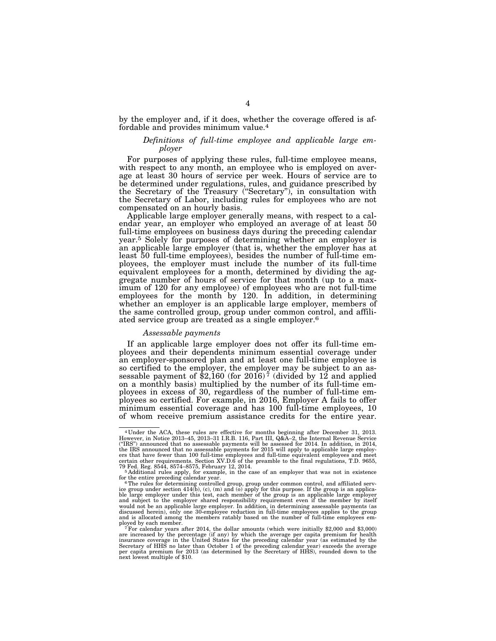by the employer and, if it does, whether the coverage offered is affordable and provides minimum value.4

## *Definitions of full-time employee and applicable large employer*

For purposes of applying these rules, full-time employee means, with respect to any month, an employee who is employed on average at least 30 hours of service per week. Hours of service are to be determined under regulations, rules, and guidance prescribed by the Secretary of the Treasury (''Secretary''), in consultation with the Secretary of Labor, including rules for employees who are not compensated on an hourly basis.

Applicable large employer generally means, with respect to a calendar year, an employer who employed an average of at least 50 full-time employees on business days during the preceding calendar year.5 Solely for purposes of determining whether an employer is an applicable large employer (that is, whether the employer has at least 50 full-time employees), besides the number of full-time employees, the employer must include the number of its full-time equivalent employees for a month, determined by dividing the aggregate number of hours of service for that month (up to a maximum of 120 for any employee) of employees who are not full-time employees for the month by 120. In addition, in determining whether an employer is an applicable large employer, members of the same controlled group, group under common control, and affiliated service group are treated as a single employer.6

## *Assessable payments*

If an applicable large employer does not offer its full-time employees and their dependents minimum essential coverage under an employer-sponsored plan and at least one full-time employee is so certified to the employer, the employer may be subject to an assessable payment of \$2,160 (for 2016)<sup> $\frac{1}{7}$ </sup> (divided by 12 and applied on a monthly basis) multiplied by the number of its full-time employees in excess of 30, regardless of the number of full-time employees so certified. For example, in 2016, Employer A fails to offer minimum essential coverage and has 100 full-time employees, 10 of whom receive premium assistance credits for the entire year.

<sup>4</sup> Under the ACA, these rules are effective for months beginning after December 31, 2013. However, in Notice 2013–45, 2013–31 I.R.B. 116, Part III, Q&A–2, the Internal Revenue Service ("IRS") announced that no assessable payments will be assessed for 2014. In addition, in 2014,<br>the IRS announced that no assessable payments for 2015 will apply to applicable large employ-<br>ers that have fewer than 100 full certain other requirements. Section XV.D.6 of the preamble to the final regulations, T.D. 9655,<br>79 Fed. Reg. 8544, 8574–8575, February 12, 2014.<br>- <sup>5</sup> Additional rules apply, for example, in the case of an employer that wa

for the entire preceding calendar year.<br>
<sup>6</sup> The rules for determining controlled group, group under common control, and affiliated serv-<br>
<sup>6</sup> The rules for determining controlled group is and (o) apply for this purpose. I discussed herein), only one 30-employee reduction in full-time employees applies to the group and is allocated among the members ratably based on the number of full-time employees em-

ployed by each member.<br><sup>7</sup> For calendar years after 2014, the dollar amounts (which were initially \$2,000 and \$3,000)<br>are increased by the percentage (if any) by which the average per capita premium for health<br>insurance co Secretary of HHS no later than October 1 of the preceding calendar year) exceeds the average per capita premium for 2013 (as determined by the Secretary of HHS), rounded down to the next lowest multiple of \$10.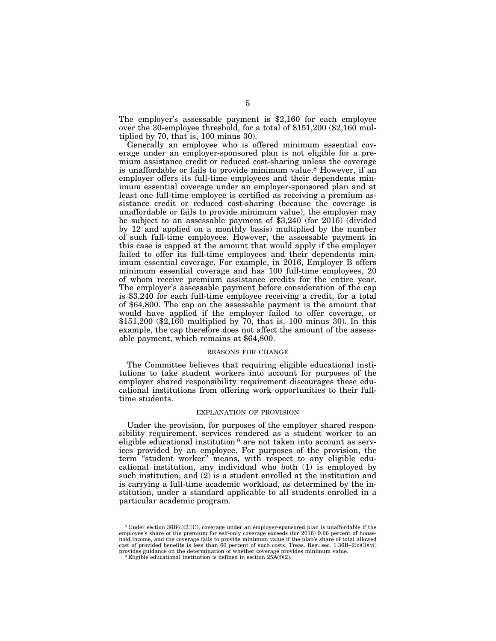The employer's assessable payment is \$2,160 for each employee over the 30-employee threshold, for a total of \$151,200 (\$2,160 multiplied by 70, that is, 100 minus 30).

Generally an employee who is offered minimum essential coverage under an employer-sponsored plan is not eligible for a premium assistance credit or reduced cost-sharing unless the coverage is unaffordable or fails to provide minimum value.8 However, if an employer offers its full-time employees and their dependents minimum essential coverage under an employer-sponsored plan and at least one full-time employee is certified as receiving a premium assistance credit or reduced cost-sharing (because the coverage is unaffordable or fails to provide minimum value), the employer may be subject to an assessable payment of \$3,240 (for 2016) (divided by 12 and applied on a monthly basis) multiplied by the number of such full-time employees. However, the assessable payment in this case is capped at the amount that would apply if the employer failed to offer its full-time employees and their dependents minimum essential coverage. For example, in 2016, Employer B offers minimum essential coverage and has 100 full-time employees, 20 of whom receive premium assistance credits for the entire year. The employer's assessable payment before consideration of the cap is \$3,240 for each full-time employee receiving a credit, for a total of \$64,800. The cap on the assessable payment is the amount that would have applied if the employer failed to offer coverage, or \$151,200 (\$2,160 multiplied by 70, that is, 100 minus 30). In this example, the cap therefore does not affect the amount of the assessable payment, which remains at \$64,800.

#### REASONS FOR CHANGE

The Committee believes that requiring eligible educational institutions to take student workers into account for purposes of the employer shared responsibility requirement discourages these educational institutions from offering work opportunities to their fulltime students.

#### EXPLANATION OF PROVISION

Under the provision, for purposes of the employer shared responsibility requirement, services rendered as a student worker to an eligible educational institution <sup>9</sup> are not taken into account as services provided by an employee. For purposes of the provision, the term "student worker" means, with respect to any eligible educational institution, any individual who both (1) is employed by such institution, and (2) is a student enrolled at the institution and is carrying a full-time academic workload, as determined by the institution, under a standard applicable to all students enrolled in a particular academic program.

<sup>8</sup> Under section 36B(c)(2)(C), coverage under an employer-sponsored plan is unaffordable if the employee's share of the premium for self-only coverage exceeds (for 2016) 9.66 percent of household income, and the coverage fails to provide minimum value if the plan's share of total allowed cost of provided benefits is less than 60 percent of such costs. Treas. Reg. sec. 1.36B–2(c)(3)(vi) provides guidance on the determination of whether coverage provides minimum value. 9 Eligible educational institution is defined in section 25A(f)(2).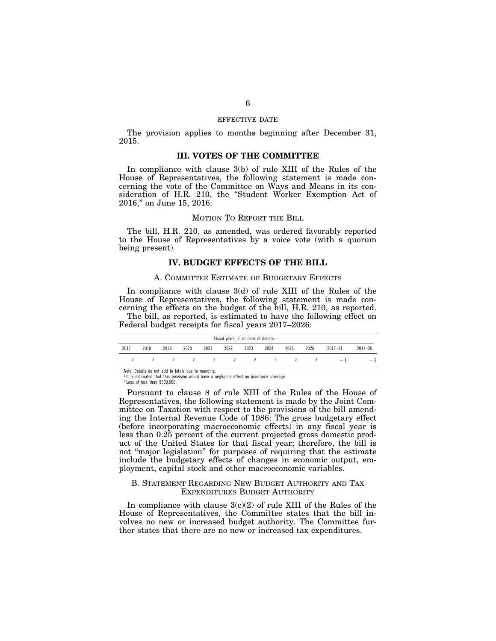## EFFECTIVE DATE

The provision applies to months beginning after December 31, 2015.

## **III. VOTES OF THE COMMITTEE**

In compliance with clause 3(b) of rule XIII of the Rules of the House of Representatives, the following statement is made concerning the vote of the Committee on Ways and Means in its consideration of H.R. 210, the "Student Worker Exemption Act of 2016,'' on June 15, 2016.

## MOTION TO REPORT THE BILL

The bill, H.R. 210, as amended, was ordered favorably reported to the House of Representatives by a voice vote (with a quorum being present).

## **IV. BUDGET EFFECTS OF THE BILL**

### A. COMMITTEE ESTIMATE OF BUDGETARY EFFECTS

In compliance with clause 3(d) of rule XIII of the Rules of the House of Representatives, the following statement is made concerning the effects on the budget of the bill, H.R. 210, as reported.

The bill, as reported, is estimated to have the following effect on Federal budget receipts for fiscal years 2017–2026:

| Fiscal years, in millions of dollars- |      |      |      |      |      |      |      |      |      |             |             |  |
|---------------------------------------|------|------|------|------|------|------|------|------|------|-------------|-------------|--|
| 2017                                  | 2018 | 2019 | 2020 | 2021 | 2022 | 2023 | 2024 | 2025 | 2026 | $2017 - 21$ | $2017 - 26$ |  |
|                                       |      |      |      |      |      |      |      |      |      | $\equiv$    | $-5$        |  |

Note: Details do not add to totals due to rounding. 1 It is estimated that this provision would have a negligible effect on insurance coverage.

2 Loss of less than \$500,000.

Pursuant to clause 8 of rule XIII of the Rules of the House of Representatives, the following statement is made by the Joint Committee on Taxation with respect to the provisions of the bill amending the Internal Revenue Code of 1986: The gross budgetary effect (before incorporating macroeconomic effects) in any fiscal year is less than 0.25 percent of the current projected gross domestic product of the United States for that fiscal year; therefore, the bill is not ''major legislation'' for purposes of requiring that the estimate include the budgetary effects of changes in economic output, employment, capital stock and other macroeconomic variables.

## B. STATEMENT REGARDING NEW BUDGET AUTHORITY AND TAX EXPENDITURES BUDGET AUTHORITY

In compliance with clause  $3(c)(2)$  of rule XIII of the Rules of the House of Representatives, the Committee states that the bill involves no new or increased budget authority. The Committee further states that there are no new or increased tax expenditures.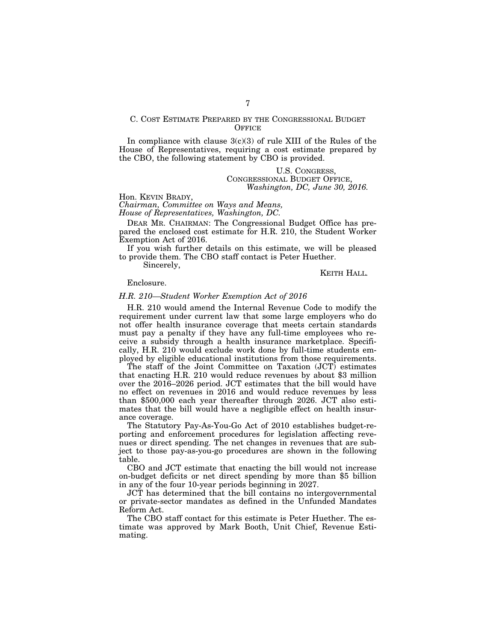## C. COST ESTIMATE PREPARED BY THE CONGRESSIONAL BUDGET **OFFICE**

In compliance with clause  $3(c)(3)$  of rule XIII of the Rules of the House of Representatives, requiring a cost estimate prepared by the CBO, the following statement by CBO is provided.

> U.S. CONGRESS, CONGRESSIONAL BUDGET OFFICE, *Washington, DC, June 30, 2016.*

Hon. KEVIN BRADY, *Chairman, Committee on Ways and Means,* 

*House of Representatives, Washington, DC.* 

DEAR MR. CHAIRMAN: The Congressional Budget Office has prepared the enclosed cost estimate for H.R. 210, the Student Worker Exemption Act of 2016.

If you wish further details on this estimate, we will be pleased to provide them. The CBO staff contact is Peter Huether.

Sincerely,

KEITH HALL*.* 

Enclosure.

## *H.R. 210—Student Worker Exemption Act of 2016*

H.R. 210 would amend the Internal Revenue Code to modify the requirement under current law that some large employers who do not offer health insurance coverage that meets certain standards must pay a penalty if they have any full-time employees who receive a subsidy through a health insurance marketplace. Specifically, H.R. 210 would exclude work done by full-time students employed by eligible educational institutions from those requirements.

The staff of the Joint Committee on Taxation (JCT) estimates that enacting H.R. 210 would reduce revenues by about \$3 million over the 2016–2026 period. JCT estimates that the bill would have no effect on revenues in 2016 and would reduce revenues by less than \$500,000 each year thereafter through 2026. JCT also estimates that the bill would have a negligible effect on health insurance coverage.

The Statutory Pay-As-You-Go Act of 2010 establishes budget-reporting and enforcement procedures for legislation affecting revenues or direct spending. The net changes in revenues that are subject to those pay-as-you-go procedures are shown in the following table.

CBO and JCT estimate that enacting the bill would not increase on-budget deficits or net direct spending by more than \$5 billion in any of the four 10-year periods beginning in 2027.

JCT has determined that the bill contains no intergovernmental or private-sector mandates as defined in the Unfunded Mandates Reform Act.

The CBO staff contact for this estimate is Peter Huether. The estimate was approved by Mark Booth, Unit Chief, Revenue Estimating.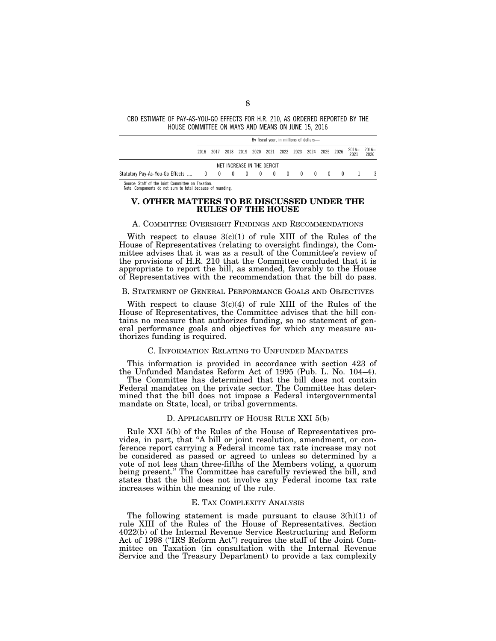### CBO ESTIMATE OF PAY-AS-YOU-GO EFFECTS FOR H.R. 210, AS ORDERED REPORTED BY THE HOUSE COMMITTEE ON WAYS AND MEANS ON JUNE 15, 2016

|                                                              | By fiscal year, in millions of dollars- |  |  |  |                             |  |  |  |  |  |                                                        |                |  |
|--------------------------------------------------------------|-----------------------------------------|--|--|--|-----------------------------|--|--|--|--|--|--------------------------------------------------------|----------------|--|
|                                                              |                                         |  |  |  |                             |  |  |  |  |  | 2016 2017 2018 2019 2020 2021 2022 2023 2024 2025 2026 | 2016-2016-2020 |  |
|                                                              |                                         |  |  |  | NET INCREASE IN THE DEFICIT |  |  |  |  |  |                                                        |                |  |
| Statutory Pay-As-You-Go Effects  0 0 0 0 0 0 0 0 0 0 0 0 0 1 |                                         |  |  |  |                             |  |  |  |  |  |                                                        |                |  |

Source: Staff of the Joint Committee on Taxation. Note: Components do not sum to total because of rounding.

## **V. OTHER MATTERS TO BE DISCUSSED UNDER THE RULES OF THE HOUSE**

## A. COMMITTEE OVERSIGHT FINDINGS AND RECOMMENDATIONS

With respect to clause  $3(c)(1)$  of rule XIII of the Rules of the House of Representatives (relating to oversight findings), the Committee advises that it was as a result of the Committee's review of the provisions of H.R. 210 that the Committee concluded that it is appropriate to report the bill, as amended, favorably to the House of Representatives with the recommendation that the bill do pass.

#### B. STATEMENT OF GENERAL PERFORMANCE GOALS AND OBJECTIVES

With respect to clause  $3(c)(4)$  of rule XIII of the Rules of the House of Representatives, the Committee advises that the bill contains no measure that authorizes funding, so no statement of general performance goals and objectives for which any measure authorizes funding is required.

## C. INFORMATION RELATING TO UNFUNDED MANDATES

This information is provided in accordance with section 423 of the Unfunded Mandates Reform Act of 1995 (Pub. L. No. 104–4).

The Committee has determined that the bill does not contain Federal mandates on the private sector. The Committee has determined that the bill does not impose a Federal intergovernmental mandate on State, local, or tribal governments.

## D. APPLICABILITY OF HOUSE RULE XXI 5(b)

Rule XXI 5(b) of the Rules of the House of Representatives provides, in part, that ''A bill or joint resolution, amendment, or conference report carrying a Federal income tax rate increase may not be considered as passed or agreed to unless so determined by a vote of not less than three-fifths of the Members voting, a quorum being present.'' The Committee has carefully reviewed the bill, and states that the bill does not involve any Federal income tax rate increases within the meaning of the rule.

## E. TAX COMPLEXITY ANALYSIS

The following statement is made pursuant to clause  $3(h)(1)$  of rule XIII of the Rules of the House of Representatives. Section 4022(b) of the Internal Revenue Service Restructuring and Reform Act of 1998 (''IRS Reform Act'') requires the staff of the Joint Committee on Taxation (in consultation with the Internal Revenue Service and the Treasury Department) to provide a tax complexity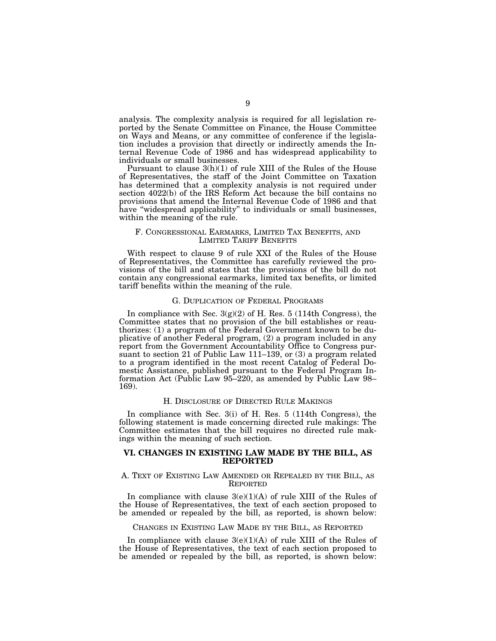analysis. The complexity analysis is required for all legislation reported by the Senate Committee on Finance, the House Committee on Ways and Means, or any committee of conference if the legislation includes a provision that directly or indirectly amends the Internal Revenue Code of 1986 and has widespread applicability to individuals or small businesses.

Pursuant to clause 3(h)(1) of rule XIII of the Rules of the House of Representatives, the staff of the Joint Committee on Taxation has determined that a complexity analysis is not required under section 4022(b) of the IRS Reform Act because the bill contains no provisions that amend the Internal Revenue Code of 1986 and that have ''widespread applicability'' to individuals or small businesses, within the meaning of the rule.

## F. CONGRESSIONAL EARMARKS, LIMITED TAX BENEFITS, AND LIMITED TARIFF BENEFITS

With respect to clause 9 of rule XXI of the Rules of the House of Representatives, the Committee has carefully reviewed the provisions of the bill and states that the provisions of the bill do not contain any congressional earmarks, limited tax benefits, or limited tariff benefits within the meaning of the rule.

#### G. DUPLICATION OF FEDERAL PROGRAMS

In compliance with Sec.  $3(g)(2)$  of H. Res. 5 (114th Congress), the Committee states that no provision of the bill establishes or reauthorizes: (1) a program of the Federal Government known to be duplicative of another Federal program, (2) a program included in any report from the Government Accountability Office to Congress pursuant to section 21 of Public Law 111–139, or (3) a program related to a program identified in the most recent Catalog of Federal Domestic Assistance, published pursuant to the Federal Program Information Act (Public Law 95–220, as amended by Public Law 98– 169).

## H. DISCLOSURE OF DIRECTED RULE MAKINGS

In compliance with Sec. 3(i) of H. Res. 5 (114th Congress), the following statement is made concerning directed rule makings: The Committee estimates that the bill requires no directed rule makings within the meaning of such section.

## **VI. CHANGES IN EXISTING LAW MADE BY THE BILL, AS REPORTED**

## A. TEXT OF EXISTING LAW AMENDED OR REPEALED BY THE BILL, AS REPORTED

In compliance with clause  $3(e)(1)(A)$  of rule XIII of the Rules of the House of Representatives, the text of each section proposed to be amended or repealed by the bill, as reported, is shown below:

## CHANGES IN EXISTING LAW MADE BY THE BILL, AS REPORTED

In compliance with clause  $3(e)(1)(A)$  of rule XIII of the Rules of the House of Representatives, the text of each section proposed to be amended or repealed by the bill, as reported, is shown below: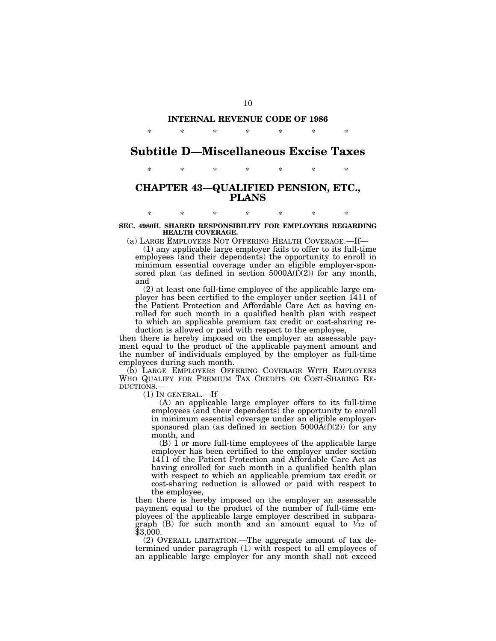# **INTERNAL REVENUE CODE OF 1986**  \* \* \* \* \* \* \*

# **Subtitle D—Miscellaneous Excise Taxes**

\* \* \* \* \* \* \*

# **CHAPTER 43—QUALIFIED PENSION, ETC., PLANS**

\* \* \* \* \* \* \* **SEC. 4980H. SHARED RESPONSIBILITY FOR EMPLOYERS REGARDING HEALTH COVERAGE.** 

(a) LARGE EMPLOYERS NOT OFFERING HEALTH COVERAGE.—If—

(1) any applicable large employer fails to offer to its full-time employees (and their dependents) the opportunity to enroll in minimum essential coverage under an eligible employer-sponsored plan (as defined in section  $5000A(f)(2)$ ) for any month, and

(2) at least one full-time employee of the applicable large employer has been certified to the employer under section 1411 of the Patient Protection and Affordable Care Act as having enrolled for such month in a qualified health plan with respect to which an applicable premium tax credit or cost-sharing reduction is allowed or paid with respect to the employee,

then there is hereby imposed on the employer an assessable payment equal to the product of the applicable payment amount and the number of individuals employed by the employer as full-time employees during such month.

(b) LARGE EMPLOYERS OFFERING COVERAGE WITH EMPLOYEES WHO QUALIFY FOR PREMIUM TAX CREDITS OR COST-SHARING REDUCTIONS.—

 $(1)$  In GENERAL.—If—

(A) an applicable large employer offers to its full-time employees (and their dependents) the opportunity to enroll in minimum essential coverage under an eligible employersponsored plan (as defined in section  $5000\text{\AA}(f)(2)$ ) for any month, and

(B) 1 or more full-time employees of the applicable large employer has been certified to the employer under section 1411 of the Patient Protection and Affordable Care Act as having enrolled for such month in a qualified health plan with respect to which an applicable premium tax credit or cost-sharing reduction is allowed or paid with respect to the employee,

then there is hereby imposed on the employer an assessable payment equal to the product of the number of full-time employees of the applicable large employer described in subparagraph (B) for such month and an amount equal to  $\mathcal{V}_{12}$  of \$3,000.

(2) OVERALL LIMITATION.—The aggregate amount of tax determined under paragraph (1) with respect to all employees of an applicable large employer for any month shall not exceed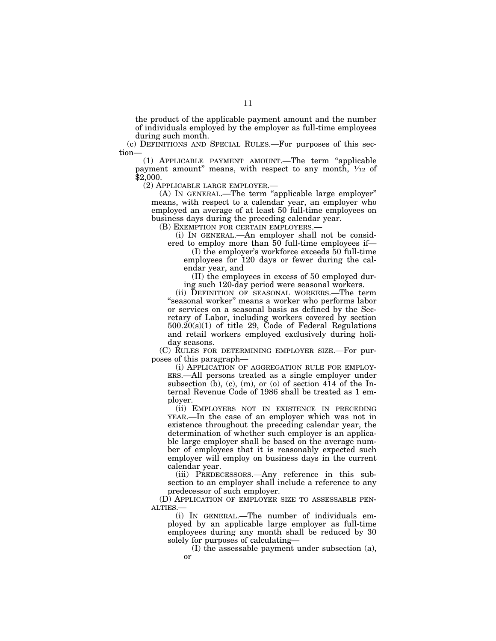the product of the applicable payment amount and the number of individuals employed by the employer as full-time employees during such month.

(c) DEFINITIONS AND SPECIAL RULES.—For purposes of this section—

(1) APPLICABLE PAYMENT AMOUNT.—The term ''applicable payment amount" means, with respect to any month,  $\frac{1}{12}$  of \$2,000.

(2) APPLICABLE LARGE EMPLOYER.—

(A) IN GENERAL.—The term ''applicable large employer'' means, with respect to a calendar year, an employer who employed an average of at least 50 full-time employees on business days during the preceding calendar year.

(B) EXEMPTION FOR CERTAIN EMPLOYERS.—

(i) IN GENERAL.—An employer shall not be considered to employ more than 50 full-time employees if—

(I) the employer's workforce exceeds 50 full-time employees for 120 days or fewer during the calendar year, and

(II) the employees in excess of 50 employed during such 120-day period were seasonal workers.

(ii) DEFINITION OF SEASONAL WORKERS.—The term ''seasonal worker'' means a worker who performs labor or services on a seasonal basis as defined by the Secretary of Labor, including workers covered by section 500.20(s)(1) of title 29, Code of Federal Regulations and retail workers employed exclusively during holiday seasons.

(C) RULES FOR DETERMINING EMPLOYER SIZE.—For purposes of this paragraph—

(i) APPLICATION OF AGGREGATION RULE FOR EMPLOY-ERS.—All persons treated as a single employer under subsection (b), (c), (m), or (o) of section 414 of the Internal Revenue Code of 1986 shall be treated as 1 employer.

(ii) EMPLOYERS NOT IN EXISTENCE IN PRECEDING YEAR.—In the case of an employer which was not in existence throughout the preceding calendar year, the determination of whether such employer is an applicable large employer shall be based on the average number of employees that it is reasonably expected such employer will employ on business days in the current calendar year.

(iii) PREDECESSORS.—Any reference in this subsection to an employer shall include a reference to any predecessor of such employer.

(D) APPLICATION OF EMPLOYER SIZE TO ASSESSABLE PEN-ALTIES.—

(i) IN GENERAL.—The number of individuals employed by an applicable large employer as full-time employees during any month shall be reduced by 30 solely for purposes of calculating—

(I) the assessable payment under subsection (a), or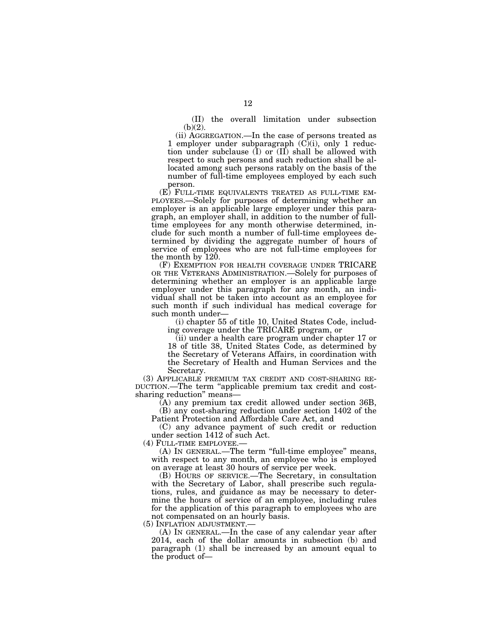(II) the overall limitation under subsection  $(b)(2)$ .

(ii) AGGREGATION.—In the case of persons treated as 1 employer under subparagraph  $(C)(i)$ , only 1 reduction under subclause (I) or (II) shall be allowed with respect to such persons and such reduction shall be allocated among such persons ratably on the basis of the number of full-time employees employed by each such person.<br>(E) FULL-TIME EQUIVALENTS TREATED AS FULL-TIME EM-

PLOYEES.—Solely for purposes of determining whether an employer is an applicable large employer under this paragraph, an employer shall, in addition to the number of fulltime employees for any month otherwise determined, include for such month a number of full-time employees determined by dividing the aggregate number of hours of service of employees who are not full-time employees for the month by 120.

(F) EXEMPTION FOR HEALTH COVERAGE UNDER TRICARE OR THE VETERANS ADMINISTRATION.—Solely for purposes of determining whether an employer is an applicable large employer under this paragraph for any month, an individual shall not be taken into account as an employee for such month if such individual has medical coverage for such month under—

(i) chapter 55 of title 10, United States Code, including coverage under the TRICARE program, or

(ii) under a health care program under chapter 17 or 18 of title 38, United States Code, as determined by the Secretary of Veterans Affairs, in coordination with the Secretary of Health and Human Services and the

Secretary.<br>
(3) APPLICABLE PREMIUM TAX CREDIT AND COST-SHARING RE-DUCTION.—The term "applicable premium tax credit and costsharing reduction'' means—

(A) any premium tax credit allowed under section 36B, (B) any cost-sharing reduction under section 1402 of the

Patient Protection and Affordable Care Act, and

(C) any advance payment of such credit or reduction under section 1412 of such Act.

(4) FULL-TIME EMPLOYEE.—

(A) IN GENERAL.—The term "full-time employee" means, with respect to any month, an employee who is employed on average at least 30 hours of service per week.

(B) HOURS OF SERVICE.—The Secretary, in consultation with the Secretary of Labor, shall prescribe such regulations, rules, and guidance as may be necessary to determine the hours of service of an employee, including rules for the application of this paragraph to employees who are not compensated on an hourly basis.<br>(5) INFLATION ADJUSTMENT.—

 $(A)$  In GENERAL.—In the case of any calendar year after 2014, each of the dollar amounts in subsection (b) and paragraph (1) shall be increased by an amount equal to the product of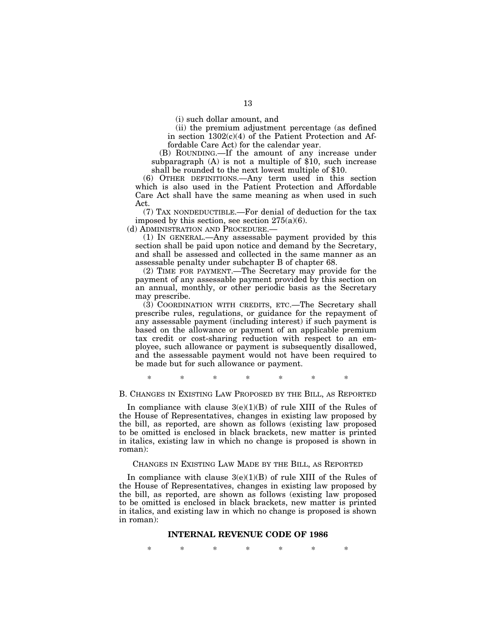(i) such dollar amount, and

(ii) the premium adjustment percentage (as defined in section  $1302(c)(4)$  of the Patient Protection and Affordable Care Act) for the calendar year.

(B) ROUNDING.—If the amount of any increase under subparagraph (A) is not a multiple of \$10, such increase shall be rounded to the next lowest multiple of \$10.

(6) OTHER DEFINITIONS.—Any term used in this section which is also used in the Patient Protection and Affordable Care Act shall have the same meaning as when used in such Act.

(7) TAX NONDEDUCTIBLE.—For denial of deduction for the tax imposed by this section, see section  $275(a)(6)$ .

(d) ADMINISTRATION AND PROCEDURE.—

(1) IN GENERAL.—Any assessable payment provided by this section shall be paid upon notice and demand by the Secretary, and shall be assessed and collected in the same manner as an assessable penalty under subchapter B of chapter 68.

(2) TIME FOR PAYMENT.—The Secretary may provide for the payment of any assessable payment provided by this section on an annual, monthly, or other periodic basis as the Secretary may prescribe.

(3) COORDINATION WITH CREDITS, ETC.—The Secretary shall prescribe rules, regulations, or guidance for the repayment of any assessable payment (including interest) if such payment is based on the allowance or payment of an applicable premium tax credit or cost-sharing reduction with respect to an employee, such allowance or payment is subsequently disallowed, and the assessable payment would not have been required to be made but for such allowance or payment.

\* \* \* \* \* \* \*

## B. CHANGES IN EXISTING LAW PROPOSED BY THE BILL, AS REPORTED

In compliance with clause  $3(e)(1)(B)$  of rule XIII of the Rules of the House of Representatives, changes in existing law proposed by the bill, as reported, are shown as follows (existing law proposed to be omitted is enclosed in black brackets, new matter is printed in italics, existing law in which no change is proposed is shown in roman):

## CHANGES IN EXISTING LAW MADE BY THE BILL, AS REPORTED

In compliance with clause  $3(e)(1)(B)$  of rule XIII of the Rules of the House of Representatives, changes in existing law proposed by the bill, as reported, are shown as follows (existing law proposed to be omitted is enclosed in black brackets, new matter is printed in italics, and existing law in which no change is proposed is shown in roman):

## **INTERNAL REVENUE CODE OF 1986**

\* \* \* \* \* \* \*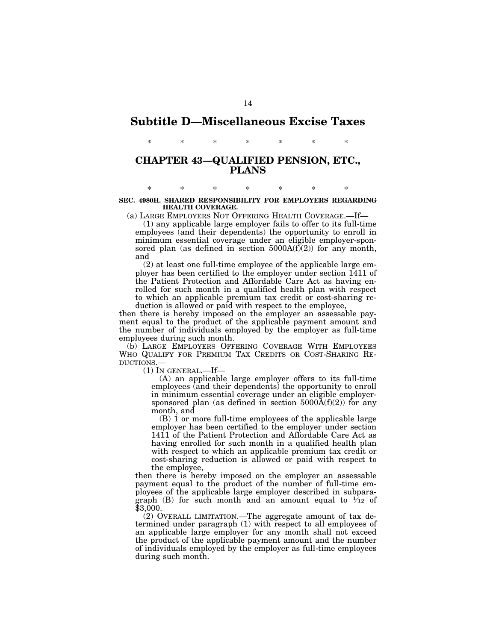# **Subtitle D—Miscellaneous Excise Taxes**

\* \* \* \* \* \* \*

## **CHAPTER 43—QUALIFIED PENSION, ETC., PLANS**

## \* \* \* \* \* \* \* **SEC. 4980H. SHARED RESPONSIBILITY FOR EMPLOYERS REGARDING HEALTH COVERAGE.**

(a) LARGE EMPLOYERS NOT OFFERING HEALTH COVERAGE.—If—

(1) any applicable large employer fails to offer to its full-time employees (and their dependents) the opportunity to enroll in minimum essential coverage under an eligible employer-sponsored plan (as defined in section  $5000A(f)(2)$ ) for any month, and

(2) at least one full-time employee of the applicable large employer has been certified to the employer under section 1411 of the Patient Protection and Affordable Care Act as having enrolled for such month in a qualified health plan with respect to which an applicable premium tax credit or cost-sharing reduction is allowed or paid with respect to the employee,

then there is hereby imposed on the employer an assessable payment equal to the product of the applicable payment amount and the number of individuals employed by the employer as full-time employees during such month.

(b) LARGE EMPLOYERS OFFERING COVERAGE WITH EMPLOYEES WHO QUALIFY FOR PREMIUM TAX CREDITS OR COST-SHARING RE-DUCTIONS.—

(1) IN GENERAL.—If—

(A) an applicable large employer offers to its full-time employees (and their dependents) the opportunity to enroll in minimum essential coverage under an eligible employersponsored plan (as defined in section  $5000A(f)(2)$ ) for any month, and

(B) 1 or more full-time employees of the applicable large employer has been certified to the employer under section 1411 of the Patient Protection and Affordable Care Act as having enrolled for such month in a qualified health plan with respect to which an applicable premium tax credit or cost-sharing reduction is allowed or paid with respect to the employee,

then there is hereby imposed on the employer an assessable payment equal to the product of the number of full-time employees of the applicable large employer described in subparagraph (B) for such month and an amount equal to  $\mathcal{V}_{12}$  of \$3,000.

(2) OVERALL LIMITATION.—The aggregate amount of tax determined under paragraph (1) with respect to all employees of an applicable large employer for any month shall not exceed the product of the applicable payment amount and the number of individuals employed by the employer as full-time employees during such month.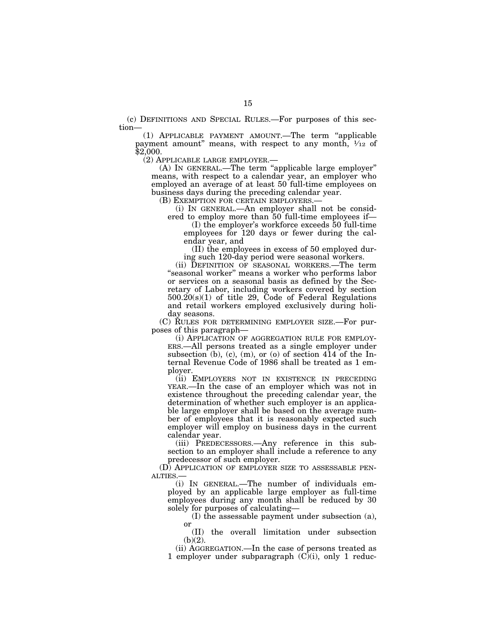(c) DEFINITIONS AND SPECIAL RULES.—For purposes of this section—

(1) APPLICABLE PAYMENT AMOUNT.—The term ''applicable payment amount" means, with respect to any month,  $\frac{1}{12}$  of \$2,000.<br>(2) Applicable large employer.—

 $(A)$  In GENERAL.—The term "applicable large employer" means, with respect to a calendar year, an employer who employed an average of at least 50 full-time employees on business days during the preceding calendar year.<br>(B) EXEMPTION FOR CERTAIN EMPLOYERS.—

(i) IN GENERAL.—An employer shall not be considered to employ more than 50 full-time employees if—

(I) the employer's workforce exceeds 50 full-time employees for 120 days or fewer during the calendar year, and

(II) the employees in excess of 50 employed during such 120-day period were seasonal workers.

(ii) DEFINITION OF SEASONAL WORKERS.—The term ''seasonal worker'' means a worker who performs labor or services on a seasonal basis as defined by the Secretary of Labor, including workers covered by section  $500.20(s)(1)$  of title 29, Code of Federal Regulations and retail workers employed exclusively during holiday seasons.

(C) RULES FOR DETERMINING EMPLOYER SIZE.—For purposes of this paragraph—

(i) APPLICATION OF AGGREGATION RULE FOR EMPLOY-ERS.—All persons treated as a single employer under subsection (b), (c), (m), or (o) of section 414 of the Internal Revenue Code of 1986 shall be treated as 1 employer.

(ii) EMPLOYERS NOT IN EXISTENCE IN PRECEDING YEAR.—In the case of an employer which was not in existence throughout the preceding calendar year, the determination of whether such employer is an applicable large employer shall be based on the average number of employees that it is reasonably expected such employer will employ on business days in the current calendar year.

(iii) PREDECESSORS.—Any reference in this subsection to an employer shall include a reference to any predecessor of such employer.

(D) APPLICATION OF EMPLOYER SIZE TO ASSESSABLE PEN-ALTIES.—

(i) IN GENERAL.—The number of individuals employed by an applicable large employer as full-time employees during any month shall be reduced by 30 solely for purposes of calculating—

(I) the assessable payment under subsection (a), or

(II) the overall limitation under subsection  $(b)(2)$ .

(ii) AGGREGATION.—In the case of persons treated as 1 employer under subparagraph  $(C)$ (i), only 1 reduc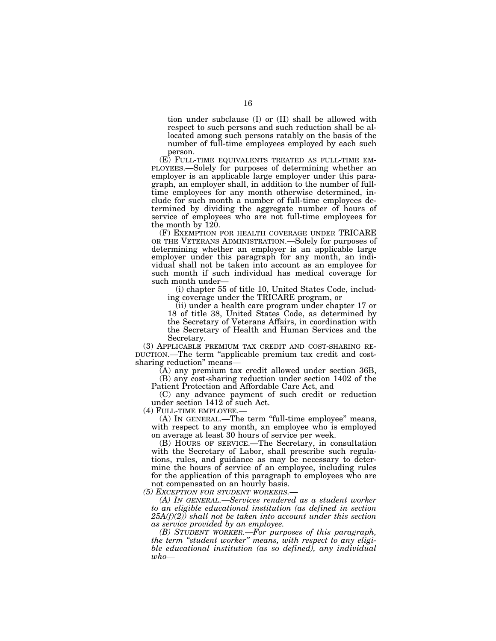tion under subclause (I) or (II) shall be allowed with respect to such persons and such reduction shall be allocated among such persons ratably on the basis of the number of full-time employees employed by each such person.

 $(E)$  FULL-TIME EQUIVALENTS TREATED AS FULL-TIME EM-PLOYEES.—Solely for purposes of determining whether an employer is an applicable large employer under this paragraph, an employer shall, in addition to the number of fulltime employees for any month otherwise determined, include for such month a number of full-time employees determined by dividing the aggregate number of hours of service of employees who are not full-time employees for the month by 120.

(F) EXEMPTION FOR HEALTH COVERAGE UNDER TRICARE OR THE VETERANS ADMINISTRATION.—Solely for purposes of determining whether an employer is an applicable large employer under this paragraph for any month, an individual shall not be taken into account as an employee for such month if such individual has medical coverage for such month under—

(i) chapter 55 of title 10, United States Code, including coverage under the TRICARE program, or

(ii) under a health care program under chapter 17 or 18 of title 38, United States Code, as determined by the Secretary of Veterans Affairs, in coordination with the Secretary of Health and Human Services and the Secretary.

(3) APPLICABLE PREMIUM TAX CREDIT AND COST-SHARING RE-DUCTION.—The term ''applicable premium tax credit and costsharing reduction'' means—

(A) any premium tax credit allowed under section 36B, (B) any cost-sharing reduction under section 1402 of the Patient Protection and Affordable Care Act, and

(C) any advance payment of such credit or reduction under section 1412 of such Act.

(4) FULL-TIME EMPLOYEE.— (A) IN GENERAL.—The term ''full-time employee'' means, with respect to any month, an employee who is employed on average at least 30 hours of service per week.

(B) HOURS OF SERVICE.—The Secretary, in consultation with the Secretary of Labor, shall prescribe such regulations, rules, and guidance as may be necessary to determine the hours of service of an employee, including rules for the application of this paragraph to employees who are not compensated on an hourly basis.

*(5) EXCEPTION FOR STUDENT WORKERS.—* 

*(A) IN GENERAL.—Services rendered as a student worker to an eligible educational institution (as defined in section 25A(f)(2)) shall not be taken into account under this section as service provided by an employee.* 

*(B) STUDENT WORKER.—For purposes of this paragraph, the term ''student worker'' means, with respect to any eligible educational institution (as so defined), any individual*   $who-$